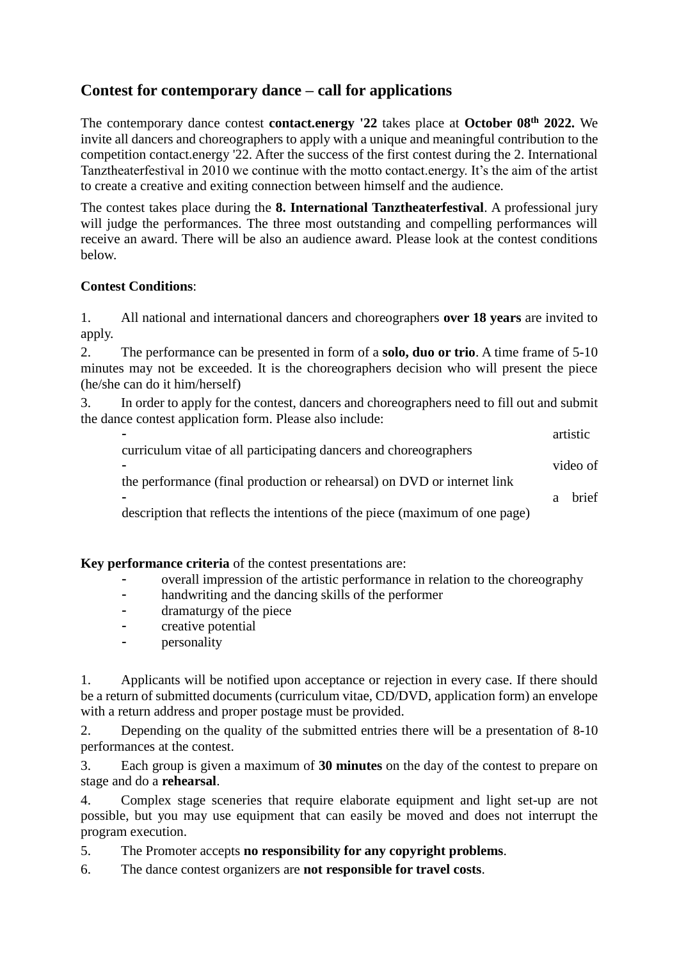## **Contest for contemporary dance – call for applications**

The contemporary dance contest **contact.energy '22** takes place at **October 08th 2022.** We invite all dancers and choreographers to apply with a unique and meaningful contribution to the competition contact.energy '22. After the success of the first contest during the 2. International Tanztheaterfestival in 2010 we continue with the motto contact.energy. It's the aim of the artist to create a creative and exiting connection between himself and the audience.

The contest takes place during the **8. International Tanztheaterfestival**. A professional jury will judge the performances. The three most outstanding and compelling performances will receive an award. There will be also an audience award. Please look at the contest conditions below.

## **Contest Conditions**:

1. All national and international dancers and choreographers **over 18 years** are invited to apply.

2. The performance can be presented in form of a **solo, duo or trio**. A time frame of 5-10 minutes may not be exceeded. It is the choreographers decision who will present the piece (he/she can do it him/herself)

3. In order to apply for the contest, dancers and choreographers need to fill out and submit the dance contest application form. Please also include:

|                                                                             |   | artistic     |
|-----------------------------------------------------------------------------|---|--------------|
| curriculum vitae of all participating dancers and choreographers            |   |              |
|                                                                             |   | video of     |
| the performance (final production or rehearsal) on DVD or internet link     |   |              |
|                                                                             | a | <b>brief</b> |
| description that reflects the intentions of the piece (maximum of one page) |   |              |
|                                                                             |   |              |

**Key performance criteria** of the contest presentations are:

- overall impression of the artistic performance in relation to the choreography<br>handwriting and the dancing skills of the performer
- handwriting and the dancing skills of the performer
- dramaturgy of the piece
- creative potential
- personality

1. Applicants will be notified upon acceptance or rejection in every case. If there should be a return of submitted documents (curriculum vitae, CD/DVD, application form) an envelope with a return address and proper postage must be provided.

2. Depending on the quality of the submitted entries there will be a presentation of 8-10 performances at the contest.

3. Each group is given a maximum of **30 minutes** on the day of the contest to prepare on stage and do a **rehearsal**.

4. Complex stage sceneries that require elaborate equipment and light set-up are not possible, but you may use equipment that can easily be moved and does not interrupt the program execution.

5. The Promoter accepts **no responsibility for any copyright problems**.

6. The dance contest organizers are **not responsible for travel costs**.